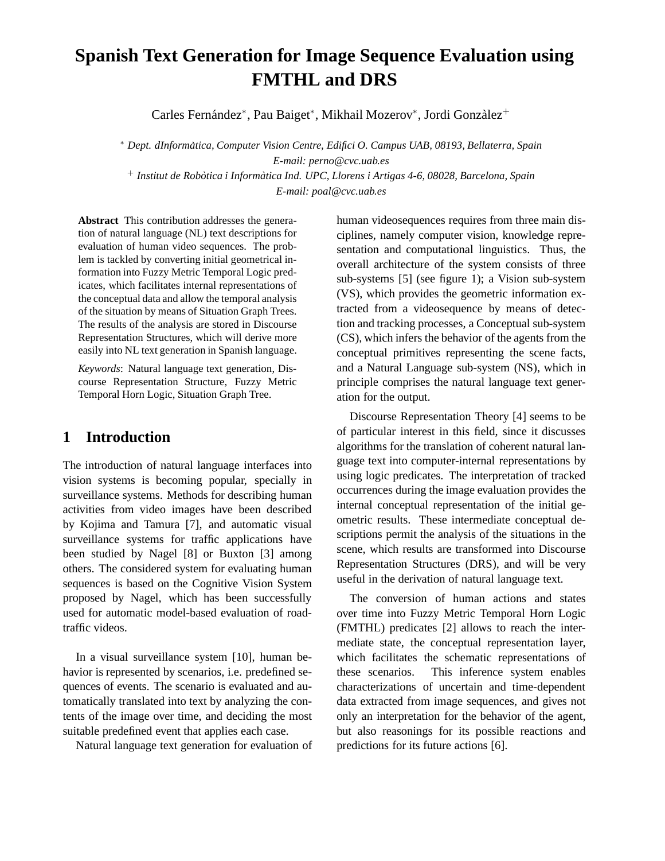# **Spanish Text Generation for Image Sequence Evaluation using FMTHL and DRS**

Carles Fernández<sup>∗</sup>, Pau Baiget<sup>∗</sup>, Mikhail Mozerov<sup>∗</sup>, Jordi Gonzàlez<sup>+</sup>

<sup>∗</sup> *Dept. dInformatica, Computer Vision Centre, Edifici O. Campus UAB, 08193, ` Bellaterra, Spain E-mail: perno@cvc.uab.es* <sup>+</sup> *Institut de Robotica i Inform ` atica Ind. UPC, Llorens i Artigas 4-6, 08028, Barcelona, Spa ` in*

*E-mail: poal@cvc.uab.es*

**Abstract** This contribution addresses the generation of natural language (NL) text descriptions for evaluation of human video sequences. The problem is tackled by converting initial geometrical information into Fuzzy Metric Temporal Logic predicates, which facilitates internal representations of the conceptual data and allow the temporal analysis of the situation by means of Situation Graph Trees. The results of the analysis are stored in Discourse Representation Structures, which will derive more easily into NL text generation in Spanish language.

*Keywords*: Natural language text generation, Discourse Representation Structure, Fuzzy Metric Temporal Horn Logic, Situation Graph Tree.

## **1 Introduction**

The introduction of natural language interfaces into vision systems is becoming popular, specially in surveillance systems. Methods for describing human activities from video images have been described by Kojima and Tamura [7], and automatic visual surveillance systems for traffic applications have been studied by Nagel [8] or Buxton [3] among others. The considered system for evaluating human sequences is based on the Cognitive Vision System proposed by Nagel, which has been successfully used for automatic model-based evaluation of roadtraffic videos.

In a visual surveillance system [10], human behavior is represented by scenarios, i.e. predefined sequences of events. The scenario is evaluated and automatically translated into text by analyzing the contents of the image over time, and deciding the most suitable predefined event that applies each case.

Natural language text generation for evaluation of

human videosequences requires from three main disciplines, namely computer vision, knowledge representation and computational linguistics. Thus, the overall architecture of the system consists of three sub-systems [5] (see figure 1); a Vision sub-system (VS), which provides the geometric information extracted from a videosequence by means of detection and tracking processes, a Conceptual sub-system (CS), which infers the behavior of the agents from the conceptual primitives representing the scene facts, and a Natural Language sub-system (NS), which in principle comprises the natural language text generation for the output.

Discourse Representation Theory [4] seems to be of particular interest in this field, since it discusses algorithms for the translation of coherent natural language text into computer-internal representations by using logic predicates. The interpretation of tracked occurrences during the image evaluation provides the internal conceptual representation of the initial geometric results. These intermediate conceptual descriptions permit the analysis of the situations in the scene, which results are transformed into Discourse Representation Structures (DRS), and will be very useful in the derivation of natural language text.

The conversion of human actions and states over time into Fuzzy Metric Temporal Horn Logic (FMTHL) predicates [2] allows to reach the intermediate state, the conceptual representation layer, which facilitates the schematic representations of these scenarios. This inference system enables characterizations of uncertain and time-dependent data extracted from image sequences, and gives not only an interpretation for the behavior of the agent, but also reasonings for its possible reactions and predictions for its future actions [6].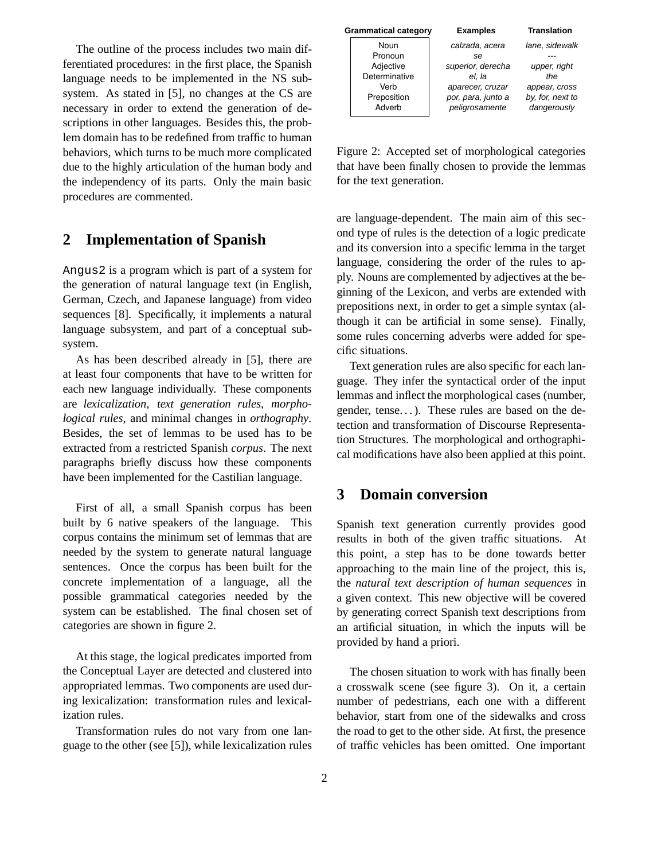The outline of the process includes two main differentiated procedures: in the first place, the Spanish language needs to be implemented in the NS subsystem. As stated in [5], no changes at the CS are necessary in order to extend the generation of descriptions in other languages. Besides this, the problem domain has to be redefined from traffic to human behaviors, which turns to be much more complicated due to the highly articulation of the human body and the independency of its parts. Only the main basic procedures are commented.

## **2 Implementation of Spanish**

Angus2 is a program which is part of a system for the generation of natural language text (in English, German, Czech, and Japanese language) from video sequences [8]. Specifically, it implements a natural language subsystem, and part of a conceptual subsystem.

As has been described already in [5], there are at least four components that have to be written for each new language individually. These components are *lexicalization*, *text generation rules*, *morphological rules*, and minimal changes in *orthography*. Besides, the set of lemmas to be used has to be extracted from a restricted Spanish *corpus*. The next paragraphs briefly discuss how these components have been implemented for the Castilian language.

First of all, a small Spanish corpus has been built by 6 native speakers of the language. This corpus contains the minimum set of lemmas that are needed by the system to generate natural language sentences. Once the corpus has been built for the concrete implementation of a language, all the possible grammatical categories needed by the system can be established. The final chosen set of categories are shown in figure 2.

At this stage, the logical predicates imported from the Conceptual Layer are detected and clustered into appropriated lemmas. Two components are used during lexicalization: transformation rules and lexicalization rules.

Transformation rules do not vary from one language to the other (see [5]), while lexicalization rules

| <b>Grammatical category</b> |                       | <b>Examples</b>                      | <b>Translation</b>              |
|-----------------------------|-----------------------|--------------------------------------|---------------------------------|
|                             | Noun<br>Pronoun       | calzada, acera                       | lane, sidewalk                  |
|                             | Adjective             | se<br>superior, derecha              | upper, right                    |
|                             | Determinative<br>Verb | el. la<br>aparecer, cruzar           | the<br>appear, cross            |
|                             | Preposition<br>Adverb | por, para, junto a<br>peligrosamente | by, for, next to<br>dangerously |

Figure 2: Accepted set of morphological categories that have been finally chosen to provide the lemmas for the text generation.

are language-dependent. The main aim of this second type of rules is the detection of a logic predicate and its conversion into a specific lemma in the target language, considering the order of the rules to apply. Nouns are complemented by adjectives at the beginning of the Lexicon, and verbs are extended with prepositions next, in order to get a simple syntax (although it can be artificial in some sense). Finally, some rules concerning adverbs were added for specific situations.

Text generation rules are also specific for each language. They infer the syntactical order of the input lemmas and inflect the morphological cases (number, gender, tense...). These rules are based on the detection and transformation of Discourse Representation Structures. The morphological and orthographical modifications have also been applied at this point.

### **3 Domain conversion**

Spanish text generation currently provides good results in both of the given traffic situations. At this point, a step has to be done towards better approaching to the main line of the project, this is, the *natural text description of human sequences* in a given context. This new objective will be covered by generating correct Spanish text descriptions from an artificial situation, in which the inputs will be provided by hand a priori.

The chosen situation to work with has finally been a crosswalk scene (see figure 3). On it, a certain number of pedestrians, each one with a different behavior, start from one of the sidewalks and cross the road to get to the other side. At first, the presence of traffic vehicles has been omitted. One important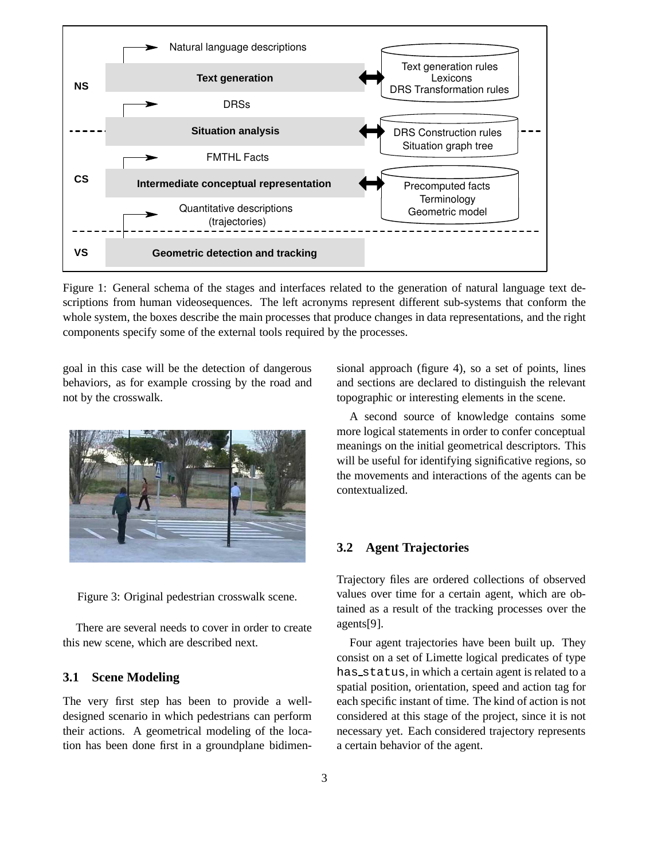

Figure 1: General schema of the stages and interfaces related to the generation of natural language text descriptions from human videosequences. The left acronyms represent different sub-systems that conform the whole system, the boxes describe the main processes that produce changes in data representations, and the right components specify some of the external tools required by the processes.

goal in this case will be the detection of dangerous behaviors, as for example crossing by the road and not by the crosswalk.



Figure 3: Original pedestrian crosswalk scene.

There are several needs to cover in order to create this new scene, which are described next.

### **3.1 Scene Modeling**

The very first step has been to provide a welldesigned scenario in which pedestrians can perform their actions. A geometrical modeling of the location has been done first in a groundplane bidimensional approach (figure 4), so a set of points, lines and sections are declared to distinguish the relevant topographic or interesting elements in the scene.

A second source of knowledge contains some more logical statements in order to confer conceptual meanings on the initial geometrical descriptors. This will be useful for identifying significative regions, so the movements and interactions of the agents can be contextualized.

### **3.2 Agent Trajectories**

Trajectory files are ordered collections of observed values over time for a certain agent, which are obtained as a result of the tracking processes over the agents[9].

Four agent trajectories have been built up. They consist on a set of Limette logical predicates of type has status, in which a certain agent is related to a spatial position, orientation, speed and action tag for each specific instant of time. The kind of action is not considered at this stage of the project, since it is not necessary yet. Each considered trajectory represents a certain behavior of the agent.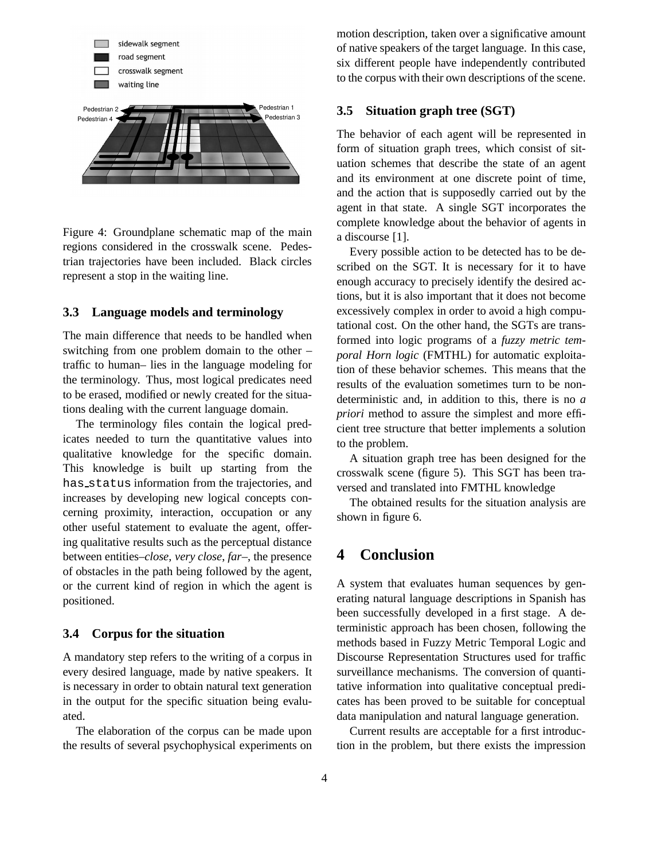

Figure 4: Groundplane schematic map of the main regions considered in the crosswalk scene. Pedestrian trajectories have been included. Black circles represent a stop in the waiting line.

#### **3.3 Language models and terminology**

The main difference that needs to be handled when switching from one problem domain to the other – traffic to human– lies in the language modeling for the terminology. Thus, most logical predicates need to be erased, modified or newly created for the situations dealing with the current language domain.

The terminology files contain the logical predicates needed to turn the quantitative values into qualitative knowledge for the specific domain. This knowledge is built up starting from the has status information from the trajectories, and increases by developing new logical concepts concerning proximity, interaction, occupation or any other useful statement to evaluate the agent, offering qualitative results such as the perceptual distance between entities–*close*, *very close*, *far*–, the presence of obstacles in the path being followed by the agent, or the current kind of region in which the agent is positioned.

### **3.4 Corpus for the situation**

A mandatory step refers to the writing of a corpus in every desired language, made by native speakers. It is necessary in order to obtain natural text generation in the output for the specific situation being evaluated.

The elaboration of the corpus can be made upon the results of several psychophysical experiments on motion description, taken over a significative amount of native speakers of the target language. In this case, six different people have independently contributed to the corpus with their own descriptions of the scene.

### **3.5 Situation graph tree (SGT)**

The behavior of each agent will be represented in form of situation graph trees, which consist of situation schemes that describe the state of an agent and its environment at one discrete point of time, and the action that is supposedly carried out by the agent in that state. A single SGT incorporates the complete knowledge about the behavior of agents in a discourse [1].

Every possible action to be detected has to be described on the SGT. It is necessary for it to have enough accuracy to precisely identify the desired actions, but it is also important that it does not become excessively complex in order to avoid a high computational cost. On the other hand, the SGTs are transformed into logic programs of a *fuzzy metric temporal Horn logic* (FMTHL) for automatic exploitation of these behavior schemes. This means that the results of the evaluation sometimes turn to be nondeterministic and, in addition to this, there is no *a priori* method to assure the simplest and more efficient tree structure that better implements a solution to the problem.

A situation graph tree has been designed for the crosswalk scene (figure 5). This SGT has been traversed and translated into FMTHL knowledge

The obtained results for the situation analysis are shown in figure 6.

## **4 Conclusion**

A system that evaluates human sequences by generating natural language descriptions in Spanish has been successfully developed in a first stage. A deterministic approach has been chosen, following the methods based in Fuzzy Metric Temporal Logic and Discourse Representation Structures used for traffic surveillance mechanisms. The conversion of quantitative information into qualitative conceptual predicates has been proved to be suitable for conceptual data manipulation and natural language generation.

Current results are acceptable for a first introduction in the problem, but there exists the impression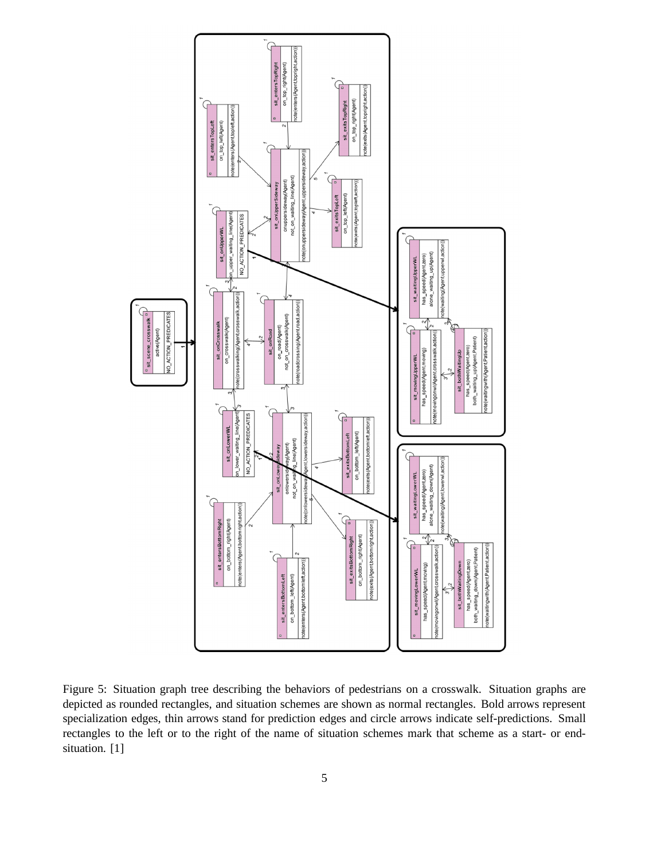

Figure 5: Situation graph tree describing the behaviors of pedestrians on a crosswalk. Situation graphs are depicted as rounded rectangles, and situation schemes are shown as normal rectangles. Bold arrows represent specialization edges, thin arrows stand for prediction edges and circle arrows indicate self-predictions. Small rectangles to the left or to the right of the name of situation schemes mark that scheme as a start- or endsituation. [1]